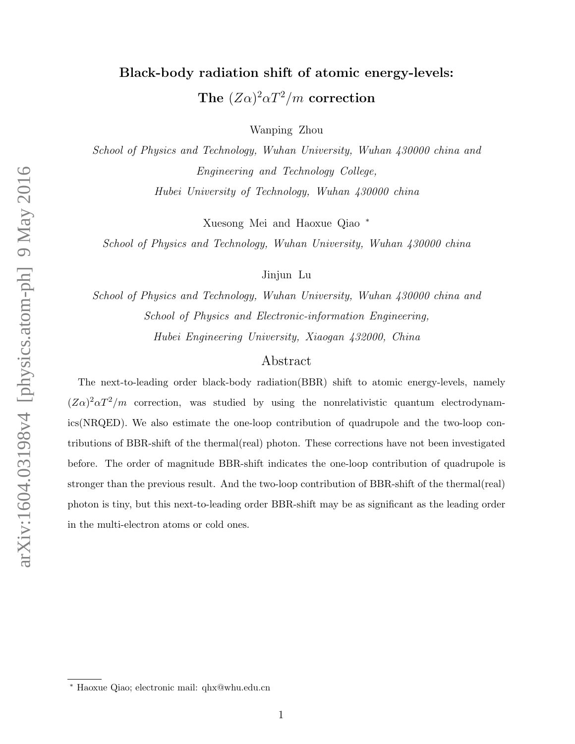# Black-body radiation shift of atomic energy-levels: The  $(Z\alpha)^2 \alpha T^2/m$  correction

Wanping Zhou

School of Physics and Technology, Wuhan University, Wuhan 430000 china and Engineering and Technology College, Hubei University of Technology, Wuhan 430000 china

Xuesong Mei and Haoxue Qiao <sup>∗</sup>

School of Physics and Technology, Wuhan University, Wuhan 430000 china

Jinjun Lu

School of Physics and Technology, Wuhan University, Wuhan 430000 china and School of Physics and Electronic-information Engineering, Hubei Engineering University, Xiaogan 432000, China

## Abstract

The next-to-leading order black-body radiation(BBR) shift to atomic energy-levels, namely  $(Z\alpha)^2\alpha T^2/m$  correction, was studied by using the nonrelativistic quantum electrodynamics(NRQED). We also estimate the one-loop contribution of quadrupole and the two-loop contributions of BBR-shift of the thermal(real) photon. These corrections have not been investigated before. The order of magnitude BBR-shift indicates the one-loop contribution of quadrupole is stronger than the previous result. And the two-loop contribution of BBR-shift of the thermal(real) photon is tiny, but this next-to-leading order BBR-shift may be as significant as the leading order in the multi-electron atoms or cold ones.

<sup>∗</sup> Haoxue Qiao; electronic mail: qhx@whu.edu.cn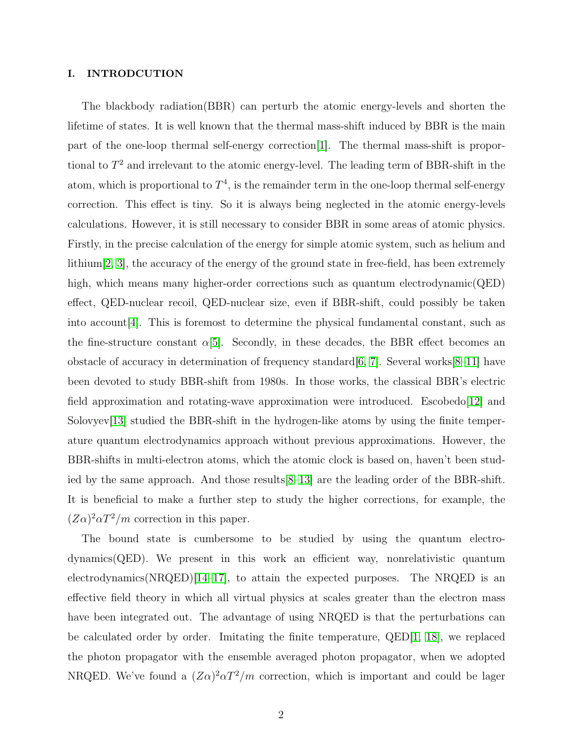### I. INTRODCUTION

The blackbody radiation(BBR) can perturb the atomic energy-levels and shorten the lifetime of states. It is well known that the thermal mass-shift induced by BBR is the main part of the one-loop thermal self-energy correction[\[1\]](#page-9-0). The thermal mass-shift is proportional to  $T^2$  and irrelevant to the atomic energy-level. The leading term of BBR-shift in the atom, which is proportional to  $T<sup>4</sup>$ , is the remainder term in the one-loop thermal self-energy correction. This effect is tiny. So it is always being neglected in the atomic energy-levels calculations. However, it is still necessary to consider BBR in some areas of atomic physics. Firstly, in the precise calculation of the energy for simple atomic system, such as helium and lithium  $[2, 3]$  $[2, 3]$ , the accuracy of the energy of the ground state in free-field, has been extremely high, which means many higher-order corrections such as quantum electrodynamic(QED) effect, QED-nuclear recoil, QED-nuclear size, even if BBR-shift, could possibly be taken into account  $|4|$ . This is foremost to determine the physical fundamental constant, such as the fine-structure constant  $\alpha$ [\[5\]](#page-9-4). Secondly, in these decades, the BBR effect becomes an obstacle of accuracy in determination of frequency standard  $[6, 7]$  $[6, 7]$ . Several works  $[8-11]$  $[8-11]$  have been devoted to study BBR-shift from 1980s. In those works, the classical BBR's electric field approximation and rotating-wave approximation were introduced. Escobedo[\[12\]](#page-9-9) and Solovyev[\[13\]](#page-9-10) studied the BBR-shift in the hydrogen-like atoms by using the finite temperature quantum electrodynamics approach without previous approximations. However, the BBR-shifts in multi-electron atoms, which the atomic clock is based on, haven't been studied by the same approach. And those results[\[8–](#page-9-7)[13\]](#page-9-10) are the leading order of the BBR-shift. It is beneficial to make a further step to study the higher corrections, for example, the  $(Z\alpha)^2 \alpha T^2/m$  correction in this paper.

The bound state is cumbersome to be studied by using the quantum electrodynamics(QED). We present in this work an efficient way, nonrelativistic quantum electrodynamics(NRQED)[\[14–](#page-9-11)[17\]](#page-10-0), to attain the expected purposes. The NRQED is an effective field theory in which all virtual physics at scales greater than the electron mass have been integrated out. The advantage of using NRQED is that the perturbations can be calculated order by order. Imitating the finite temperature, QED[\[1,](#page-9-0) [18\]](#page-10-1), we replaced the photon propagator with the ensemble averaged photon propagator, when we adopted NRQED. We've found a  $(Z\alpha)^2 \alpha T^2/m$  correction, which is important and could be lager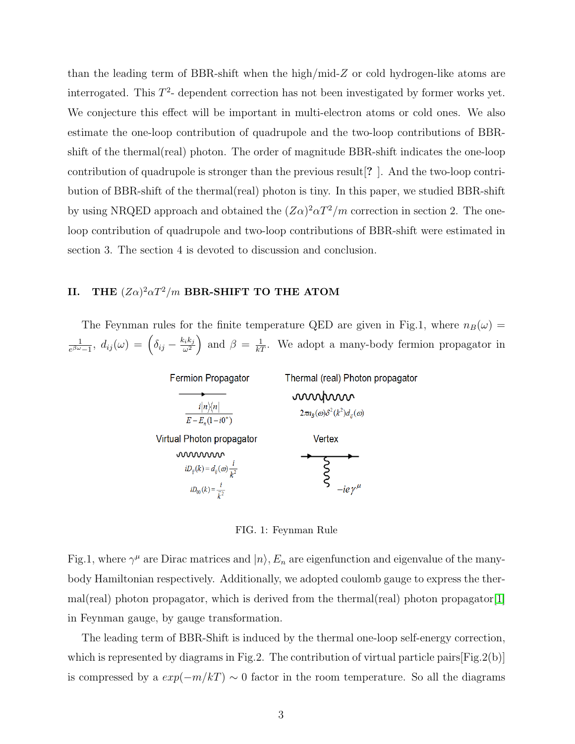than the leading term of BBR-shift when the high/mid- $Z$  or cold hydrogen-like atoms are interrogated. This  $T^2$ - dependent correction has not been investigated by former works yet. We conjecture this effect will be important in multi-electron atoms or cold ones. We also estimate the one-loop contribution of quadrupole and the two-loop contributions of BBRshift of the thermal(real) photon. The order of magnitude BBR-shift indicates the one-loop contribution of quadrupole is stronger than the previous result[? ]. And the two-loop contribution of BBR-shift of the thermal(real) photon is tiny. In this paper, we studied BBR-shift by using NRQED approach and obtained the  $(Z\alpha)^2 \alpha T^2/m$  correction in section 2. The oneloop contribution of quadrupole and two-loop contributions of BBR-shift were estimated in section 3. The section 4 is devoted to discussion and conclusion.

# II. THE  $(Z\alpha)^2\alpha T^2/m$  BBR-SHIFT TO THE ATOM

The Feynman rules for the finite temperature QED are given in Fig.1, where  $n_B(\omega)$  = 1  $\frac{1}{e^{\beta \omega}-1}, \; d_{ij}(\omega) \, = \, \Big(\delta_{ij} - \frac{k_i k_j}{\omega^2}$  $\left(\frac{\partial^2 k_j}{\partial x^2}\right)$  and  $\beta = \frac{1}{kT}$ . We adopt a many-body fermion propagator in

| <b>Fermion Propagator</b>                                                         | Thermal (real) Photon propagator                      |
|-----------------------------------------------------------------------------------|-------------------------------------------------------|
| $i n\rangle\langle n $<br>$E - E_n(1 - i0^+)$                                     | mond<br>$2\pi n_B(\omega)\delta^2(k^2)d_{ii}(\omega)$ |
| Virtual Photon propagator                                                         | Vertex                                                |
| mmmm                                                                              |                                                       |
| $iD_{ij}(k) = d_{ij}(\omega) \frac{i}{k^2}$<br>$iD_{00}(k) = \frac{i}{\vec{k}^2}$ | $-iev^{\mu}$                                          |

FIG. 1: Feynman Rule

Fig.1, where  $\gamma^{\mu}$  are Dirac matrices and  $|n\rangle$ ,  $E_n$  are eigenfunction and eigenvalue of the manybody Hamiltonian respectively. Additionally, we adopted coulomb gauge to express the thermal(real) photon propagator, which is derived from the thermal(real) photon propagator[\[1\]](#page-9-0) in Feynman gauge, by gauge transformation.

The leading term of BBR-Shift is induced by the thermal one-loop self-energy correction, which is represented by diagrams in Fig.2. The contribution of virtual particle pairs [Fig.2(b)] is compressed by a  $exp(-m/kT) \sim 0$  factor in the room temperature. So all the diagrams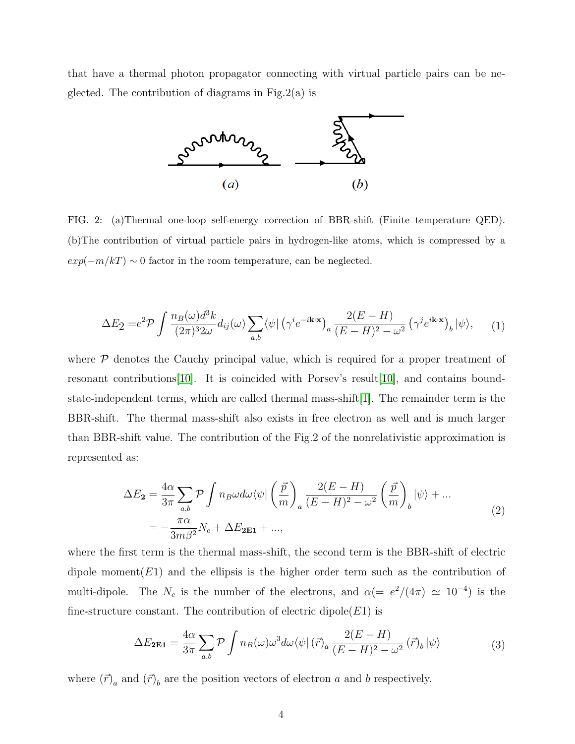that have a thermal photon propagator connecting with virtual particle pairs can be neglected. The contribution of diagrams in Fig.2(a) is



FIG. 2: (a)Thermal one-loop self-energy correction of BBR-shift (Finite temperature QED). (b)The contribution of virtual particle pairs in hydrogen-like atoms, which is compressed by a  $exp(-m/kT) \sim 0$  factor in the room temperature, can be neglected.

$$
\Delta E_2 = e^2 \mathcal{P} \int \frac{n_B(\omega) d^3k}{(2\pi)^3 2\omega} d_{ij}(\omega) \sum_{a,b} \langle \psi | \left( \gamma^i e^{-i\mathbf{k} \cdot \mathbf{x}} \right)_a \frac{2(E - H)}{(E - H)^2 - \omega^2} \left( \gamma^j e^{i\mathbf{k} \cdot \mathbf{x}} \right)_b | \psi \rangle, \tag{1}
$$

where  $\mathcal P$  denotes the Cauchy principal value, which is required for a proper treatment of resonant contributions[\[10\]](#page-9-12). It is coincided with Porsev's result[\[10\]](#page-9-12), and contains boundstate-independent terms, which are called thermal mass-shift $[1]$ . The remainder term is the BBR-shift. The thermal mass-shift also exists in free electron as well and is much larger than BBR-shift value. The contribution of the Fig.2 of the nonrelativistic approximation is represented as:

$$
\Delta E_2 = \frac{4\alpha}{3\pi} \sum_{a,b} \mathcal{P} \int n_B \omega d\omega \langle \psi | \left(\frac{\vec{p}}{m}\right)_a \frac{2(E-H)}{(E-H)^2 - \omega^2} \left(\frac{\vec{p}}{m}\right)_b |\psi\rangle + \dots
$$
  
= 
$$
-\frac{\pi \alpha}{3m\beta^2} N_e + \Delta E_{2E1} + \dots,
$$
 (2)

where the first term is the thermal mass-shift, the second term is the BBR-shift of electric dipole moment( $E1$ ) and the ellipsis is the higher order term such as the contribution of multi-dipole. The  $N_e$  is the number of the electrons, and  $\alpha (= e^2/(4\pi) \simeq 10^{-4})$  is the fine-structure constant. The contribution of electric dipole $(E1)$  is

$$
\Delta E_{2E1} = \frac{4\alpha}{3\pi} \sum_{a,b} \mathcal{P} \int n_B(\omega) \omega^3 d\omega \langle \psi | (\vec{r})_a \frac{2(E-H)}{(E-H)^2 - \omega^2} (\vec{r})_b | \psi \rangle \tag{3}
$$

where  $(\vec{r})_a$  and  $(\vec{r})_b$  are the position vectors of electron a and b respectively.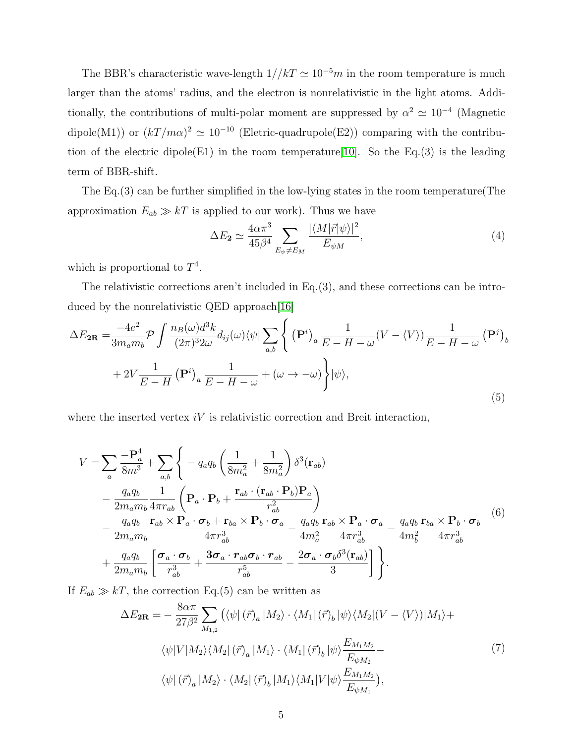The BBR's characteristic wave-length  $1/|kT| \simeq 10^{-5}m$  in the room temperature is much larger than the atoms' radius, and the electron is nonrelativistic in the light atoms. Additionally, the contributions of multi-polar moment are suppressed by  $\alpha^2 \simeq 10^{-4}$  (Magnetic dipole(M1)) or  $(kT/m\alpha)^2 \simeq 10^{-10}$  (Eletric-quadrupole(E2)) comparing with the contribu-tion of the electric dipole(E1) in the room temperature [\[10\]](#page-9-12). So the Eq.(3) is the leading term of BBR-shift.

The Eq.(3) can be further simplified in the low-lying states in the room temperature(The approximation  $E_{ab} \gg kT$  is applied to our work). Thus we have

$$
\Delta E_2 \simeq \frac{4\alpha \pi^3}{45\beta^4} \sum_{E_{\psi} \neq E_M} \frac{|\langle M|\vec{r}|\psi\rangle|^2}{E_{\psi M}},\tag{4}
$$

which is proportional to  $T^4$ .

The relativistic corrections aren't included in Eq.(3), and these corrections can be intro-duced by the nonrelativistic QED approach[\[16\]](#page-9-13)

$$
\Delta E_{2\mathbf{R}} = \frac{-4e^2}{3m_a m_b} \mathcal{P} \int \frac{n_B(\omega) d^3k}{(2\pi)^3 2\omega} d_{ij}(\omega) \langle \psi | \sum_{a,b} \left\{ (\mathbf{P}^i)_a \frac{1}{E - H - \omega} (V - \langle V \rangle) \frac{1}{E - H - \omega} (\mathbf{P}^j)_b \right\}
$$
  
+ 
$$
2V \frac{1}{E - H} (\mathbf{P}^i)_a \frac{1}{E - H - \omega} + (\omega \to -\omega) \left\} |\psi \rangle,
$$
 (5)

where the inserted vertex  $iV$  is relativistic correction and Breit interaction,

$$
V = \sum_{a} \frac{-\mathbf{P}_{a}^{4}}{8m^{3}} + \sum_{a,b} \left\{ -q_{a}q_{b} \left( \frac{1}{8m_{a}^{2}} + \frac{1}{8m_{a}^{2}} \right) \delta^{3}(\mathbf{r}_{ab}) - \frac{q_{a}q_{b}}{2m_{a}m_{b}} \frac{1}{4\pi r_{ab}} \left( \mathbf{P}_{a} \cdot \mathbf{P}_{b} + \frac{\mathbf{r}_{ab} \cdot (\mathbf{r}_{ab} \cdot \mathbf{P}_{b}) \mathbf{P}_{a}}{r_{ab}^{2}} \right) - \frac{q_{a}q_{b}}{2m_{a}m_{b}} \frac{\mathbf{r}_{ab} \times \mathbf{P}_{a} \cdot \boldsymbol{\sigma}_{b} + \mathbf{r}_{ba} \times \mathbf{P}_{b} \cdot \boldsymbol{\sigma}_{a}}{4\pi r_{ab}^{3}} - \frac{q_{a}q_{b}}{4m_{a}^{2}} \frac{\mathbf{r}_{ab} \times \mathbf{P}_{a} \cdot \boldsymbol{\sigma}_{a}}{4\pi r_{ab}^{3}} - \frac{q_{a}q_{b}}{4m_{b}^{2}} \frac{\mathbf{r}_{ba} \times \mathbf{P}_{b} \cdot \boldsymbol{\sigma}_{b}}{4m_{b}^{2}} \frac{(6)}{4\pi r_{ab}^{3}}
$$
\n
$$
+ \frac{q_{a}q_{b}}{2m_{a}m_{b}} \left[ \frac{\boldsymbol{\sigma}_{a} \cdot \boldsymbol{\sigma}_{b}}{r_{ab}^{3}} + \frac{3\boldsymbol{\sigma}_{a} \cdot \mathbf{r}_{ab}\boldsymbol{\sigma}_{b} \cdot \mathbf{r}_{ab}}{r_{ab}^{5}} - \frac{2\boldsymbol{\sigma}_{a} \cdot \boldsymbol{\sigma}_{b} \delta^{3}(\mathbf{r}_{ab})}{3} \right] \right\}.
$$

If  $E_{ab} \gg kT$ , the correction Eq.(5) can be written as

$$
\Delta E_{2R} = -\frac{8\alpha\pi}{27\beta^2} \sum_{M_{1,2}} \left( \langle \psi | (\vec{r})_a | M_2 \rangle \cdot \langle M_1 | (\vec{r})_b | \psi \rangle \langle M_2 | (V - \langle V \rangle) | M_1 \rangle + \langle \psi | V | M_2 \rangle \langle M_2 | (\vec{r})_a | M_1 \rangle \cdot \langle M_1 | (\vec{r})_b | \psi \rangle \frac{E_{M_1 M_2}}{E_{\psi M_2}} - \langle \psi | (\vec{r})_a | M_2 \rangle \cdot \langle M_2 | (\vec{r})_b | M_1 \rangle \langle M_1 | V | \psi \rangle \frac{E_{M_1 M_2}}{E_{\psi M_1}} \right), \tag{7}
$$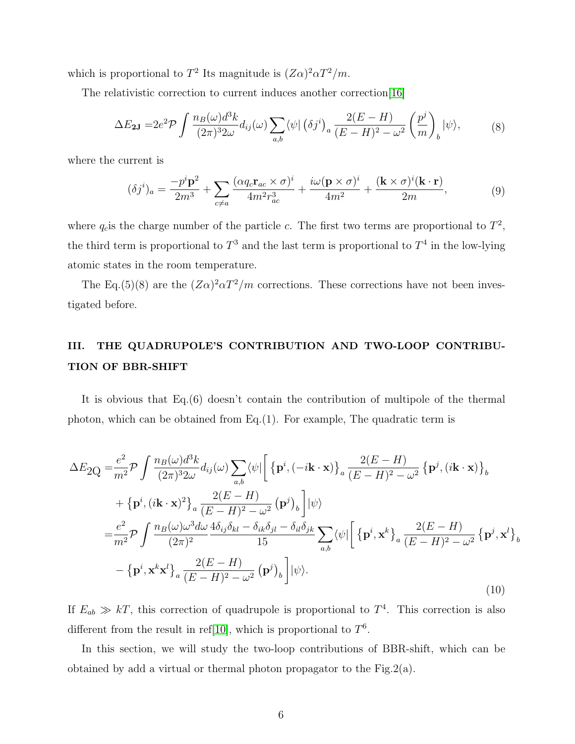which is proportional to  $T^2$  Its magnitude is  $(Z\alpha)^2 \alpha T^2/m$ .

The relativistic correction to current induces another correction[\[16\]](#page-9-13)

$$
\Delta E_{2J} = 2e^2 \mathcal{P} \int \frac{n_B(\omega) d^3k}{(2\pi)^3 2\omega} d_{ij}(\omega) \sum_{a,b} \langle \psi | (\delta j^i)_a \frac{2(E-H)}{(E-H)^2 - \omega^2} \left(\frac{p^j}{m}\right)_b |\psi\rangle, \tag{8}
$$

where the current is

$$
(\delta j^i)_a = \frac{-p^i \mathbf{p}^2}{2m^3} + \sum_{c \neq a} \frac{(\alpha q_c \mathbf{r}_{ac} \times \sigma)^i}{4m^2 r_{ac}^3} + \frac{i\omega (\mathbf{p} \times \sigma)^i}{4m^2} + \frac{(\mathbf{k} \times \sigma)^i (\mathbf{k} \cdot \mathbf{r})}{2m},\tag{9}
$$

where  $q_c$  is the charge number of the particle c. The first two terms are proportional to  $T^2$ , the third term is proportional to  $T^3$  and the last term is proportional to  $T^4$  in the low-lying atomic states in the room temperature.

The Eq.(5)(8) are the  $(Z\alpha)^2 \alpha T^2/m$  corrections. These corrections have not been investigated before.

# III. THE QUADRUPOLE'S CONTRIBUTION AND TWO-LOOP CONTRIBU-TION OF BBR-SHIFT

It is obvious that Eq.(6) doesn't contain the contribution of multipole of the thermal photon, which can be obtained from Eq. $(1)$ . For example, The quadratic term is

$$
\Delta E_{2Q} = \frac{e^2}{m^2} \mathcal{P} \int \frac{n_B(\omega) d^3k}{(2\pi)^3 2\omega} d_{ij}(\omega) \sum_{a,b} \langle \psi | \left[ \left\{ \mathbf{p}^i, (-i\mathbf{k} \cdot \mathbf{x}) \right\}_a \frac{2(E-H)}{(E-H)^2 - \omega^2} \left\{ \mathbf{p}^j, (i\mathbf{k} \cdot \mathbf{x}) \right\}_b \right. \n+ \left\{ \mathbf{p}^i, (i\mathbf{k} \cdot \mathbf{x})^2 \right\}_a \frac{2(E-H)}{(E-H)^2 - \omega^2} (\mathbf{p}^j)_b \left] |\psi \rangle \n= \frac{e^2}{m^2} \mathcal{P} \int \frac{n_B(\omega) \omega^3 d\omega}{(2\pi)^2} \frac{4 \delta_{ij} \delta_{kl} - \delta_{ik} \delta_{jl} - \delta_{il} \delta_{jk}}{15} \sum_{a,b} \langle \psi | \left[ \left\{ \mathbf{p}^i, \mathbf{x}^k \right\}_a \frac{2(E-H)}{(E-H)^2 - \omega^2} \left\{ \mathbf{p}^j, \mathbf{x}^l \right\}_b \right. \n- \left\{ \mathbf{p}^i, \mathbf{x}^k \mathbf{x}^l \right\}_a \frac{2(E-H)}{(E-H)^2 - \omega^2} (\mathbf{p}^j)_b \left| \psi \right\rangle.
$$
\n(10)

If  $E_{ab} \gg kT$ , this correction of quadrupole is proportional to  $T<sup>4</sup>$ . This correction is also different from the result in ref<sup>[\[10\]](#page-9-12)</sup>, which is proportional to  $T^6$ .

In this section, we will study the two-loop contributions of BBR-shift, which can be obtained by add a virtual or thermal photon propagator to the Fig.2(a).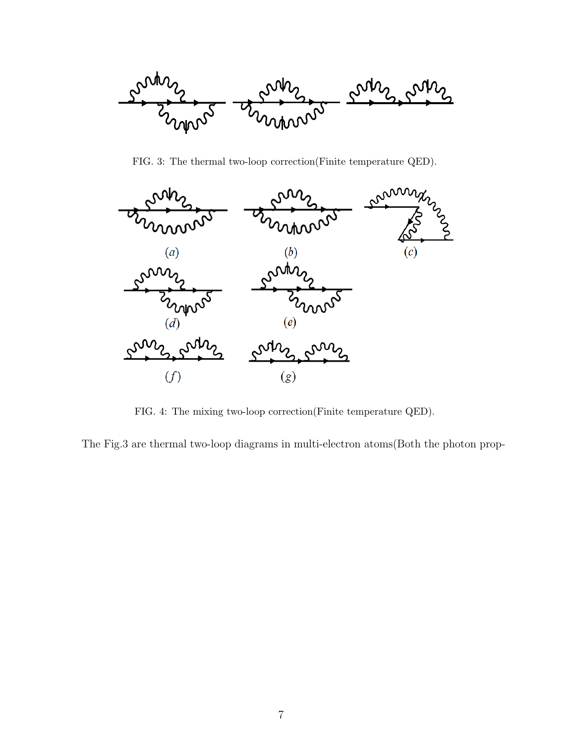

FIG. 3: The thermal two-loop correction(Finite temperature QED).



FIG. 4: The mixing two-loop correction(Finite temperature QED).

The Fig.3 are thermal two-loop diagrams in multi-electron atoms(Both the photon prop-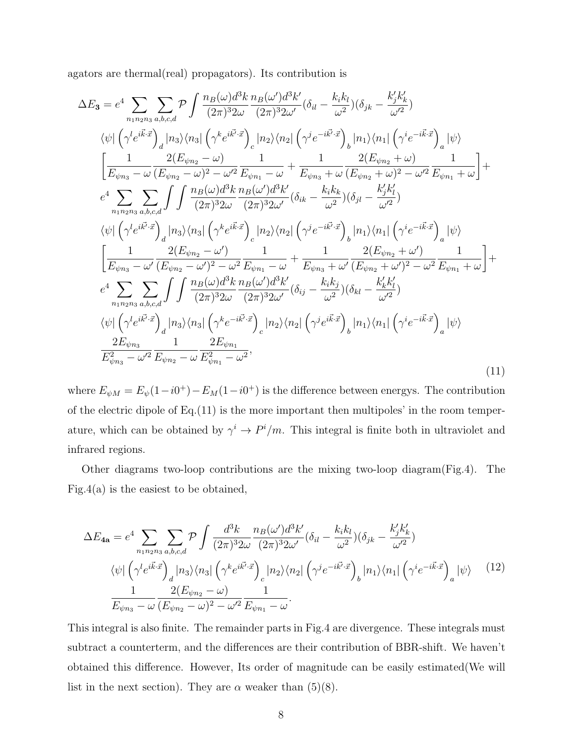agators are thermal(real) propagators). Its contribution is

$$
\Delta E_{3} = e^{4} \sum_{n_{1}n_{2}n_{3}} \sum_{a,b,c,d} \mathcal{P} \int \frac{n_{B}(\omega)d^{3}k}{(2\pi)^{3}2\omega} \frac{n_{B}(\omega')d^{3}k'}{(2\pi)^{3}2\omega'} (\delta_{il} - \frac{k_{i}k_{l}}{\omega^{2}})(\delta_{jk} - \frac{k'_{j}k'_{k}}{\omega'^{2}})
$$
  
\n
$$
\langle \psi | (\gamma' e^{i\vec{k}\cdot\vec{x}})_{d} |n_{3}\rangle \langle n_{3}| (\gamma^{k} e^{i\vec{k'}\cdot\vec{x}})_{c} |n_{2}\rangle \langle n_{2}| (\gamma^{j} e^{-i\vec{k}\cdot\vec{x}})_{b} |n_{1}\rangle \langle n_{1}| (\gamma^{i} e^{-i\vec{k}\cdot\vec{x}})_{d} | \psi \rangle
$$
  
\n
$$
\left[ \frac{1}{E_{\psi n_{3}} - \omega} \frac{2(E_{\psi n_{2}} - \omega)}{(E_{\psi n_{2}} - \omega)^{2} - \omega'^{2}} \frac{1}{E_{\psi n_{1}} - \omega} + \frac{1}{E_{\psi n_{3}} + \omega} \frac{2(E_{\psi n_{2}} + \omega)}{(E_{\psi n_{2}} + \omega)^{2} - \omega'^{2}} \frac{1}{E_{\psi n_{1}} + \omega} \right] + e^{4} \sum_{n_{1}n_{2}n_{3}} \sum_{a,b,c,d} \int \int \frac{n_{B}(\omega)d^{3}k}{(2\pi)^{3}2\omega} \frac{n_{2}\sqrt{\omega'}}{(2\pi)^{3}2\omega'} (\delta_{ik} - \frac{k_{i}k_{k}}{\omega^{2}})(\delta_{jl} - \frac{k'_{j}k'_{l}}{\omega'^{2}})
$$
  
\n
$$
\langle \psi | (\gamma' e^{i\vec{k'}\cdot\vec{x}})_{d} |n_{3}\rangle \langle n_{3}| (\gamma^{k} e^{i\vec{k}\cdot\vec{x}})_{c} |n_{2}\rangle \langle n_{2}| (\gamma^{j} e^{-i\vec{k'}\cdot\vec{x}})_{b} |n_{1}\rangle \langle n_{1}| (\gamma^{i} e^{-i\vec{k}\cdot\vec{x}})_{d} | \psi \rangle
$$
  
\n
$$
\left[ \frac{1}{E_{\psi n_{3}} - \omega'} \frac{2(E_{\psi n_{2}} - \omega')}{
$$

where  $E_{\psi M} = E_{\psi}(1 - i0^{+}) - E_{M}(1 - i0^{+})$  is the difference between energys. The contribution of the electric dipole of Eq.(11) is the more important then multipoles' in the room temperature, which can be obtained by  $\gamma^i \to P^i/m$ . This integral is finite both in ultraviolet and infrared regions.

Other diagrams two-loop contributions are the mixing two-loop diagram(Fig.4). The Fig.4(a) is the easiest to be obtained,

$$
\Delta E_{4a} = e^4 \sum_{n_1 n_2 n_3} \sum_{a,b,c,d} \mathcal{P} \int \frac{d^3k}{(2\pi)^3 2\omega} \frac{n_B(\omega')d^3k'}{(2\pi)^3 2\omega'} (\delta_{il} - \frac{k_i k_l}{\omega^2}) (\delta_{jk} - \frac{k'_j k'_k}{\omega'^2})
$$

$$
\langle \psi | \left( \gamma^l e^{i\vec{k}\cdot\vec{x}} \right)_d |n_3\rangle \langle n_3 | \left( \gamma^k e^{i\vec{k}'\cdot\vec{x}} \right)_c |n_2\rangle \langle n_2 | \left( \gamma^j e^{-i\vec{k}\cdot\vec{x}} \right)_b |n_1\rangle \langle n_1 | \left( \gamma^i e^{-i\vec{k}\cdot\vec{x}} \right)_a | \psi \rangle \tag{12}
$$

$$
\frac{1}{E_{\psi n_3} - \omega} \frac{2(E_{\psi n_2} - \omega)}{(E_{\psi n_2} - \omega)^2 - \omega'^2} \frac{1}{E_{\psi n_1} - \omega}.
$$

This integral is also finite. The remainder parts in Fig.4 are divergence. These integrals must subtract a counterterm, and the differences are their contribution of BBR-shift. We haven't obtained this difference. However, Its order of magnitude can be easily estimated(We will list in the next section). They are  $\alpha$  weaker than (5)(8).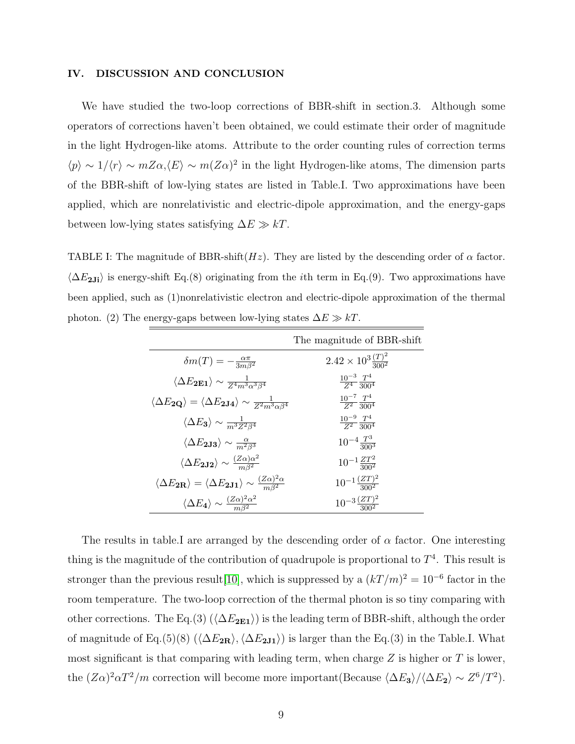#### IV. DISCUSSION AND CONCLUSION

We have studied the two-loop corrections of BBR-shift in section.3. Although some operators of corrections haven't been obtained, we could estimate their order of magnitude in the light Hydrogen-like atoms. Attribute to the order counting rules of correction terms  $\langle p \rangle \sim 1/\langle r \rangle \sim mZ\alpha,\langle E \rangle \sim m(Z\alpha)^2$  in the light Hydrogen-like atoms, The dimension parts of the BBR-shift of low-lying states are listed in Table.I. Two approximations have been applied, which are nonrelativistic and electric-dipole approximation, and the energy-gaps between low-lying states satisfying  $\Delta E \gg kT$ .

TABLE I: The magnitude of BBR-shift $(Hz)$ . They are listed by the descending order of  $\alpha$  factor.  $\langle \Delta E_{2Ji} \rangle$  is energy-shift Eq.(8) originating from the *i*th term in Eq.(9). Two approximations have been applied, such as (1)nonrelativistic electron and electric-dipole approximation of the thermal photon. (2) The energy-gaps between low-lying states  $\Delta E \gg kT$ .

|                                                                                                                  | The magnitude of BBR-shift              |
|------------------------------------------------------------------------------------------------------------------|-----------------------------------------|
| $\delta m(T) = -\frac{\alpha \pi}{3m\beta^2}$                                                                    | $2.42 \times 10^{3} \frac{(T)^2}{3002}$ |
| $\langle \Delta E_{\rm 2E1} \rangle \sim \frac{1}{Z^4 m^3 \alpha^3 \beta^4}$                                     | $\frac{10^{-3}}{Z^4} \frac{T^4}{300^4}$ |
| $\langle \Delta E_{\bf 2 Q} \rangle = \langle \Delta E_{\bf 2 J4} \rangle \sim \frac{1}{Z^2 m^3 \alpha \beta^4}$ | $\frac{10^{-7}}{Z^2} \frac{T^4}{300^4}$ |
| $\langle \Delta E_3 \rangle \sim \frac{1}{m^3 Z^2 \beta^4}$                                                      | $\frac{10^{-9}}{Z^2} \frac{T^4}{300^4}$ |
| $\langle \Delta E_{\bf 2J3} \rangle \sim \frac{\alpha}{m^2 \beta^3}$                                             | $10^{-4} \frac{T^3}{3003}$              |
| $\langle \Delta E_{2J2} \rangle \sim \frac{(Z\alpha)\alpha^2}{m\beta^2}$                                         | $10^{-1} \frac{ZT^2}{300^2}$            |
| $\langle \Delta E_{2\bf R} \rangle = \langle \Delta E_{2\bf J1} \rangle \sim \frac{(Z\alpha)^2 \alpha}{m^{32}}$  | $10^{-1}\frac{(ZT)^2}{300^2}$           |
| $\langle \Delta E_4 \rangle \sim \frac{(Z\alpha)^2 \alpha^2}{m^{3/2}}$                                           | $10^{-3} \frac{(ZT)^2}{2002}$           |

The results in table.I are arranged by the descending order of  $\alpha$  factor. One interesting thing is the magnitude of the contribution of quadrupole is proportional to  $T<sup>4</sup>$ . This result is stronger than the previous result [\[10\]](#page-9-12), which is suppressed by a  $(kT/m)^2 = 10^{-6}$  factor in the room temperature. The two-loop correction of the thermal photon is so tiny comparing with other corrections. The Eq.(3) ( $\langle \Delta E_{2E1} \rangle$ ) is the leading term of BBR-shift, although the order of magnitude of Eq.(5)(8) ( $\langle \Delta E_{2R} \rangle$ ,  $\langle \Delta E_{2J1} \rangle$ ) is larger than the Eq.(3) in the Table.I. What most significant is that comparing with leading term, when charge  $Z$  is higher or  $T$  is lower, the  $(Z\alpha)^2 \alpha T^2/m$  correction will become more important(Because  $\langle \Delta E_3 \rangle / \langle \Delta E_2 \rangle \sim Z^6/T^2$ ).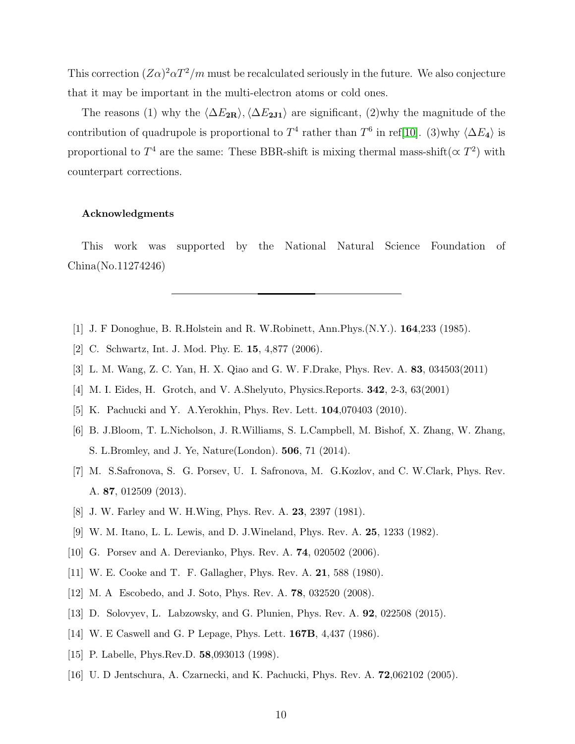This correction  $(Z\alpha)^2\alpha T^2/m$  must be recalculated seriously in the future. We also conjecture that it may be important in the multi-electron atoms or cold ones.

The reasons (1) why the  $\langle \Delta E_{2R} \rangle$ ,  $\langle \Delta E_{2J1} \rangle$  are significant, (2)why the magnitude of the contribution of quadrupole is proportional to  $T^4$  rather than  $T^6$  in ref[\[10\]](#page-9-12). (3)why  $\langle \Delta E_4 \rangle$  is proportional to  $T^4$  are the same: These BBR-shift is mixing thermal mass-shift( $\propto T^2$ ) with counterpart corrections.

#### Acknowledgments

This work was supported by the National Natural Science Foundation of China(No.11274246)

- <span id="page-9-1"></span><span id="page-9-0"></span>[1] J. F Donoghue, B. R.Holstein and R. W.Robinett, Ann.Phys.(N.Y.). 164,233 (1985).
- <span id="page-9-2"></span>[2] C. Schwartz, Int. J. Mod. Phy. E. 15, 4,877 (2006).
- <span id="page-9-3"></span>[3] L. M. Wang, Z. C. Yan, H. X. Qiao and G. W. F.Drake, Phys. Rev. A. 83, 034503(2011)
- <span id="page-9-4"></span>[4] M. I. Eides, H. Grotch, and V. A.Shelyuto, Physics.Reports. 342, 2-3, 63(2001)
- <span id="page-9-5"></span>[5] K. Pachucki and Y. A.Yerokhin, Phys. Rev. Lett. 104,070403 (2010).
- [6] B. J.Bloom, T. L.Nicholson, J. R.Williams, S. L.Campbell, M. Bishof, X. Zhang, W. Zhang, S. L.Bromley, and J. Ye, Nature(London). 506, 71 (2014).
- <span id="page-9-6"></span>[7] M. S.Safronova, S. G. Porsev, U. I. Safronova, M. G.Kozlov, and C. W.Clark, Phys. Rev. A. 87, 012509 (2013).
- <span id="page-9-7"></span>[8] J. W. Farley and W. H.Wing, Phys. Rev. A. 23, 2397 (1981).
- <span id="page-9-12"></span>[9] W. M. Itano, L. L. Lewis, and D. J.Wineland, Phys. Rev. A. 25, 1233 (1982).
- <span id="page-9-8"></span>[10] G. Porsev and A. Derevianko, Phys. Rev. A. 74, 020502 (2006).
- <span id="page-9-9"></span>[11] W. E. Cooke and T. F. Gallagher, Phys. Rev. A. 21, 588 (1980).
- <span id="page-9-10"></span>[12] M. A Escobedo, and J. Soto, Phys. Rev. A. 78, 032520 (2008).
- <span id="page-9-11"></span>[13] D. Solovyev, L. Labzowsky, and G. Plunien, Phys. Rev. A. 92, 022508 (2015).
- [14] W. E Caswell and G. P Lepage, Phys. Lett. **167B**, 4,437 (1986).
- <span id="page-9-13"></span>[15] P. Labelle, Phys.Rev.D. 58,093013 (1998).
- [16] U. D Jentschura, A. Czarnecki, and K. Pachucki, Phys. Rev. A. 72,062102 (2005).